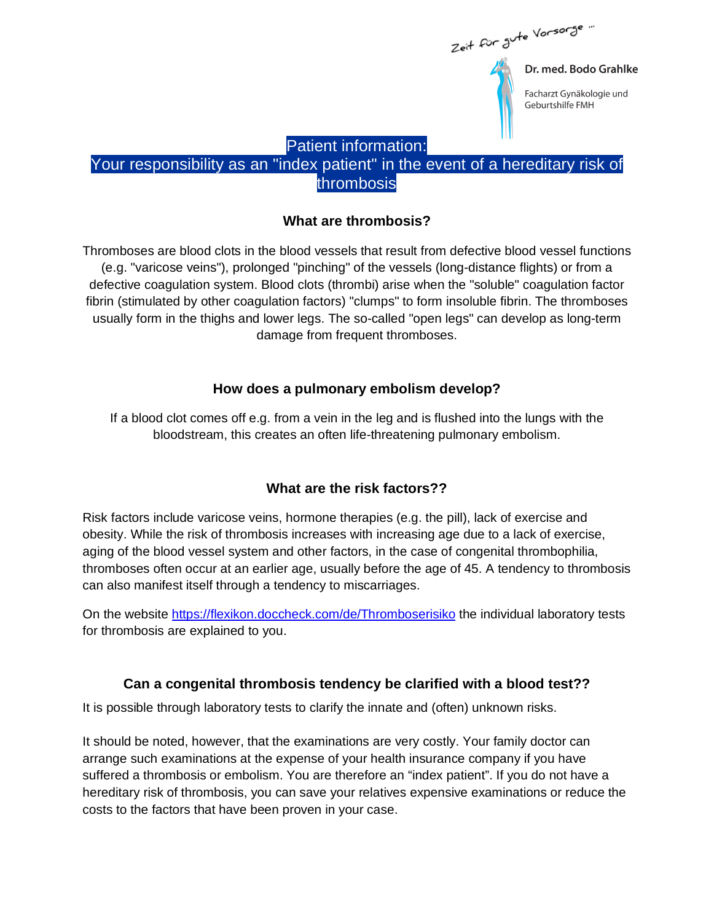

Facharzt Gynäkologie und Geburtshilfe FMH

#### Patient information:

## Your responsibility as an "index patient" in the event of a hereditary risk of thrombosis

#### **What are thrombosis?**

Thromboses are blood clots in the blood vessels that result from defective blood vessel functions (e.g. "varicose veins"), prolonged "pinching" of the vessels (long-distance flights) or from a defective coagulation system. Blood clots (thrombi) arise when the "soluble" coagulation factor fibrin (stimulated by other coagulation factors) "clumps" to form insoluble fibrin. The thromboses usually form in the thighs and lower legs. The so-called "open legs" can develop as long-term damage from frequent thromboses.

#### **How does a pulmonary embolism develop?**

If a blood clot comes off e.g. from a vein in the leg and is flushed into the lungs with the bloodstream, this creates an often life-threatening pulmonary embolism.

### **What are the risk factors??**

Risk factors include varicose veins, hormone therapies (e.g. the pill), lack of exercise and obesity. While the risk of thrombosis increases with increasing age due to a lack of exercise, aging of the blood vessel system and other factors, in the case of congenital thrombophilia, thromboses often occur at an earlier age, usually before the age of 45. A tendency to thrombosis can also manifest itself through a tendency to miscarriages.

On the website https://flexikon.doccheck.com/de/Thromboserisiko the individual laboratory tests for thrombosis are explained to you.

### **Can a congenital thrombosis tendency be clarified with a blood test??**

It is possible through laboratory tests to clarify the innate and (often) unknown risks.

It should be noted, however, that the examinations are very costly. Your family doctor can arrange such examinations at the expense of your health insurance company if you have suffered a thrombosis or embolism. You are therefore an "index patient". If you do not have a hereditary risk of thrombosis, you can save your relatives expensive examinations or reduce the costs to the factors that have been proven in your case.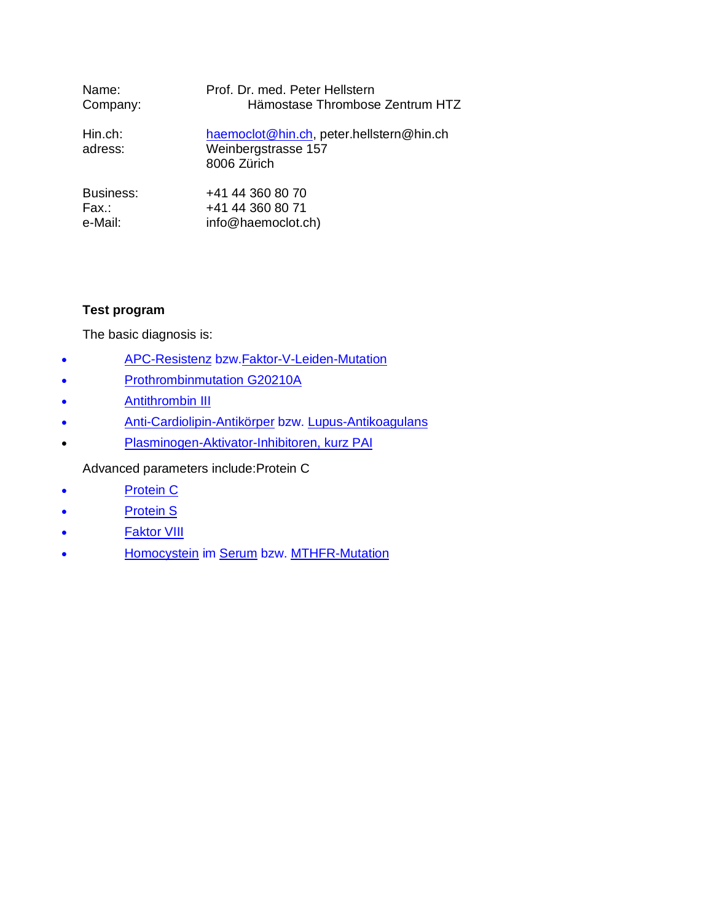| Name:              | Prof. Dr. med. Peter Hellstern                                                 |
|--------------------|--------------------------------------------------------------------------------|
| Company:           | Hämostase Thrombose Zentrum HTZ                                                |
| Hin.ch:<br>adress: | haemoclot@hin.ch, peter.hellstern@hin.ch<br>Weinbergstrasse 157<br>8006 Zürich |
| Business:          | +41 44 360 80 70                                                               |
| Fax.:              | +41 44 360 80 71                                                               |
| e-Mail:            | info@haemoclot.ch)                                                             |

#### **Test program**

The basic diagnosis is:

- APC-Resistenz bzw.Faktor-V-Leiden-Mutation
- Prothrombinmutation G20210A
- Antithrombin III
- Anti-Cardiolipin-Antikörper bzw. Lupus-Antikoagulans
- Plasminogen-Aktivator-Inhibitoren, kurz PAI

Advanced parameters include:Protein C

- Protein C
- Protein S
- **Faktor VIII**
- Homocystein im Serum bzw. MTHFR-Mutation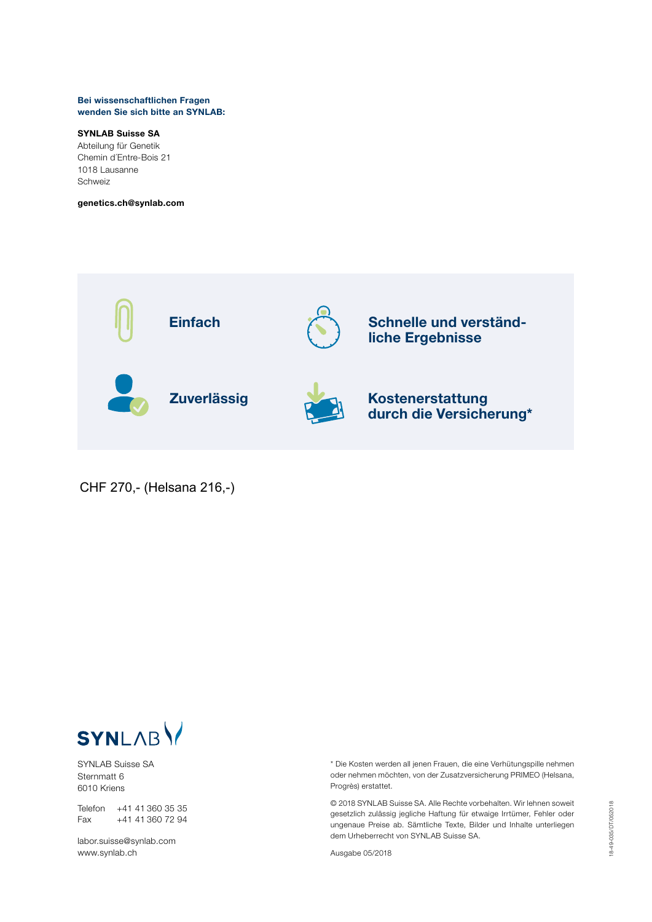#### Bei wissenschaftlichen Fragen wenden Sie sich bitte an SYNLAB:

#### SYNLAB Suisse SA

Abteilung für Genetik Chemin d´Entre-Bois 21 1018 Lausanne Schweiz

genetics.ch@synlab.com



CHF 270,- (Helsana 216,-)



SYNLAB Suisse SA Sternmatt 6 6010 Kriens

Telefon +41 41 360 35 35 Fax +41 41 360 72 94

labor.suisse@synlab.com www.synlab.ch

\* Die Kosten werden all jenen Frauen, die eine Verhütungspille nehmen oder nehmen möchten, von der Zusatzversicherung PRIMEO (Helsana, Progrès) erstattet.

© 2018 SYNLAB Suisse SA. Alle Rechte vorbehalten. Wir lehnen soweit gesetzlich zulässig jegliche Haftung für etwaige Irrtümer, Fehler oder ungenaue Preise ab. Sämtliche Texte, Bilder und Inhalte unterliegen dem Urheberrecht von SYNLAB Suisse SA.

Ausgabe 05/2018